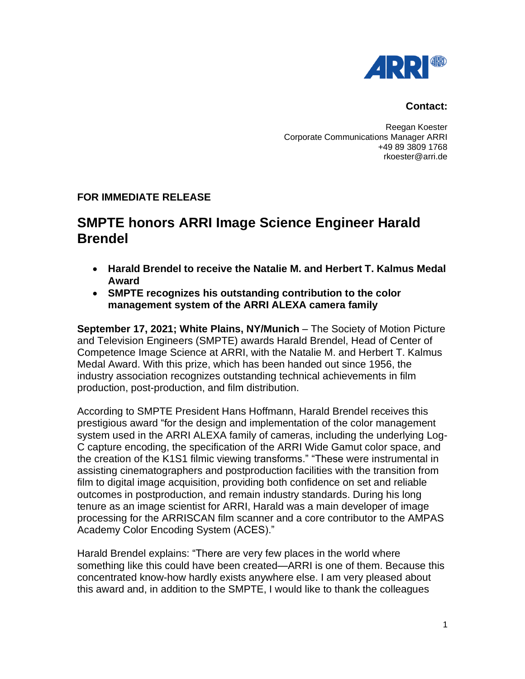

## **Contact:**

Reegan Koester Corporate Communications Manager ARRI +49 89 3809 1768 rkoester@arri.de

## **FOR IMMEDIATE RELEASE**

## **SMPTE honors ARRI Image Science Engineer Harald Brendel**

- **Harald Brendel to receive the Natalie M. and Herbert T. Kalmus Medal Award**
- **SMPTE recognizes his outstanding contribution to the color management system of the ARRI ALEXA camera family**

**September 17, 2021; White Plains, NY/Munich** – The Society of Motion Picture and Television Engineers (SMPTE) awards Harald Brendel, Head of Center of Competence Image Science at ARRI, with the Natalie M. and Herbert T. Kalmus Medal Award. With this prize, which has been handed out since 1956, the industry association recognizes outstanding technical achievements in film production, post-production, and film distribution.

According to SMPTE President Hans Hoffmann, Harald Brendel receives this prestigious award "for the design and implementation of the color management system used in the ARRI ALEXA family of cameras, including the underlying Log-C capture encoding, the specification of the ARRI Wide Gamut color space, and the creation of the K1S1 filmic viewing transforms." "These were instrumental in assisting cinematographers and postproduction facilities with the transition from film to digital image acquisition, providing both confidence on set and reliable outcomes in postproduction, and remain industry standards. During his long tenure as an image scientist for ARRI, Harald was a main developer of image processing for the ARRISCAN film scanner and a core contributor to the AMPAS Academy Color Encoding System (ACES)."

Harald Brendel explains: "There are very few places in the world where something like this could have been created—ARRI is one of them. Because this concentrated know-how hardly exists anywhere else. I am very pleased about this award and, in addition to the SMPTE, I would like to thank the colleagues